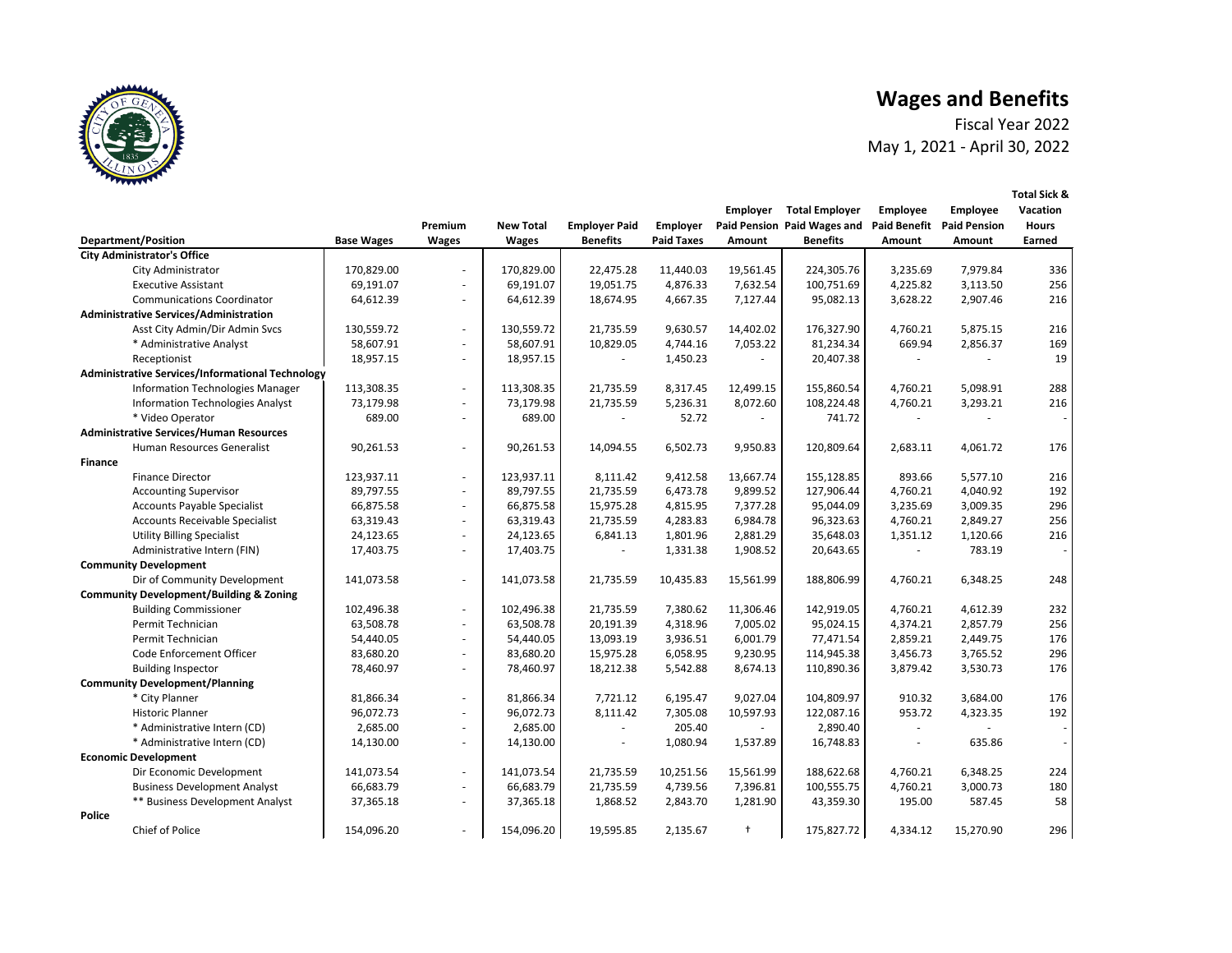| <b>Employer</b> | <b>Total Employer</b><br>aid Pension Paid Wages and | <b>Employee</b><br><b>Paid Benefit</b> | <b>Employee</b><br><b>Paid Pension</b> | <b>Vacation</b> |
|-----------------|-----------------------------------------------------|----------------------------------------|----------------------------------------|-----------------|
|                 |                                                     |                                        |                                        | <b>Hours</b>    |
| <b>Amount</b>   | <b>Benefits</b>                                     | <b>Amount</b>                          | <b>Amount</b>                          | <b>Earned</b>   |
|                 |                                                     |                                        |                                        |                 |
| 19,561.45       | 224,305.76                                          | 3,235.69                               | 7,979.84                               | 336             |
| 7,632.54        | 100,751.69                                          | 4,225.82                               | 3,113.50                               | 256             |
| 7,127.44        | 95,082.13                                           | 3,628.22                               | 2,907.46                               | 216             |
|                 |                                                     |                                        |                                        |                 |
| 14,402.02       | 176,327.90                                          | 4,760.21                               | 5,875.15                               | 216             |
| 7,053.22        | 81,234.34                                           | 669.94                                 | 2,856.37                               | 169             |
|                 | 20,407.38                                           |                                        |                                        | 19              |
|                 |                                                     |                                        |                                        |                 |
| 12,499.15       | 155,860.54                                          | 4,760.21                               | 5,098.91                               | 288             |
| 8,072.60        | 108,224.48                                          | 4,760.21                               | 3,293.21                               | 216             |
|                 | 741.72                                              |                                        |                                        |                 |
| 9,950.83        | 120,809.64                                          | 2,683.11                               | 4,061.72                               | 176             |
|                 |                                                     |                                        |                                        |                 |
| 13,667.74       | 155,128.85                                          | 893.66                                 | 5,577.10                               | 216             |
| 9,899.52        | 127,906.44                                          | 4,760.21                               | 4,040.92                               | 192             |
| 7,377.28        | 95,044.09                                           | 3,235.69                               | 3,009.35                               | 296             |
| 6,984.78        | 96,323.63                                           | 4,760.21                               | 2,849.27                               | 256             |
| 2,881.29        | 35,648.03                                           | 1,351.12                               | 1,120.66                               | 216             |
| 1,908.52        | 20,643.65                                           |                                        | 783.19                                 |                 |
|                 |                                                     |                                        |                                        |                 |
| 15,561.99       | 188,806.99                                          | 4,760.21                               | 6,348.25                               | 248             |
|                 |                                                     |                                        |                                        |                 |
| 11,306.46       | 142,919.05                                          | 4,760.21                               | 4,612.39                               | 232             |
| 7,005.02        | 95,024.15                                           | 4,374.21                               | 2,857.79                               | 256             |
| 6,001.79        | 77,471.54                                           | 2,859.21                               | 2,449.75                               | 176             |
| 9,230.95        | 114,945.38                                          | 3,456.73                               | 3,765.52                               | 296             |
| 8,674.13        | 110,890.36                                          | 3,879.42                               | 3,530.73                               | 176             |
|                 |                                                     |                                        |                                        |                 |
| 9,027.04        | 104,809.97                                          | 910.32                                 | 3,684.00                               | 176             |
| 10,597.93       | 122,087.16                                          | 953.72                                 | 4,323.35                               | 192             |
|                 | 2,890.40                                            |                                        |                                        |                 |
| 1,537.89        | 16,748.83                                           |                                        | 635.86                                 |                 |
|                 |                                                     |                                        |                                        |                 |
| 15,561.99       | 188,622.68                                          | 4,760.21                               | 6,348.25                               | 224             |
| 7,396.81        | 100,555.75                                          | 4,760.21                               | 3,000.73                               | 180             |
| 1,281.90        | 43,359.30                                           | 195.00                                 | 587.45                                 | 58              |
|                 |                                                     |                                        |                                        |                 |
| t               | 175,827.72                                          | 4,334.12                               | 15,270.90                              | 296             |



|                                                         |                   | Premium        | <b>New Total</b> | <b>Employer Paid</b> | <b>Employer</b>   |               | Paid Pension Paid Wages and Paid Benefit Paid Pension |               |               | <b>Hours</b> |
|---------------------------------------------------------|-------------------|----------------|------------------|----------------------|-------------------|---------------|-------------------------------------------------------|---------------|---------------|--------------|
| <b>Department/Position</b>                              | <b>Base Wages</b> | <b>Wages</b>   | <b>Wages</b>     | <b>Benefits</b>      | <b>Paid Taxes</b> | <b>Amount</b> | <b>Benefits</b>                                       | <b>Amount</b> | <b>Amount</b> | Earned       |
| <b>City Administrator's Office</b>                      |                   |                |                  |                      |                   |               |                                                       |               |               |              |
| City Administrator                                      | 170,829.00        | $\blacksquare$ | 170,829.00       | 22,475.28            | 11,440.03         | 19,561.45     | 224,305.76                                            | 3,235.69      | 7,979.84      | 336          |
| <b>Executive Assistant</b>                              | 69,191.07         | $\blacksquare$ | 69,191.07        | 19,051.75            | 4,876.33          | 7,632.54      | 100,751.69                                            | 4,225.82      | 3,113.50      | 256          |
| <b>Communications Coordinator</b>                       | 64,612.39         | $\blacksquare$ | 64,612.39        | 18,674.95            | 4,667.35          | 7,127.44      | 95,082.13                                             | 3,628.22      | 2,907.46      | 216          |
| <b>Administrative Services/Administration</b>           |                   |                |                  |                      |                   |               |                                                       |               |               |              |
| Asst City Admin/Dir Admin Svcs                          | 130,559.72        | $\blacksquare$ | 130,559.72       | 21,735.59            | 9,630.57          | 14,402.02     | 176,327.90                                            | 4,760.21      | 5,875.15      | 216          |
| * Administrative Analyst                                | 58,607.91         | $\blacksquare$ | 58,607.91        | 10,829.05            | 4,744.16          | 7,053.22      | 81,234.34                                             | 669.94        | 2,856.37      | 169          |
| Receptionist                                            | 18,957.15         | $\blacksquare$ | 18,957.15        |                      | 1,450.23          |               | 20,407.38                                             |               |               | 19           |
| <b>Administrative Services/Informational Technology</b> |                   |                |                  |                      |                   |               |                                                       |               |               |              |
| <b>Information Technologies Manager</b>                 | 113,308.35        | $\blacksquare$ | 113,308.35       | 21,735.59            | 8,317.45          | 12,499.15     | 155,860.54                                            | 4,760.21      | 5,098.91      | 288          |
| <b>Information Technologies Analyst</b>                 | 73,179.98         | $\blacksquare$ | 73,179.98        | 21,735.59            | 5,236.31          | 8,072.60      | 108,224.48                                            | 4,760.21      | 3,293.21      | 216          |
| * Video Operator                                        | 689.00            | $\blacksquare$ | 689.00           |                      | 52.72             |               | 741.72                                                |               |               |              |
| <b>Administrative Services/Human Resources</b>          |                   |                |                  |                      |                   |               |                                                       |               |               |              |
| Human Resources Generalist                              | 90,261.53         | $\blacksquare$ | 90,261.53        | 14,094.55            | 6,502.73          | 9,950.83      | 120,809.64                                            | 2,683.11      | 4,061.72      | 176          |
| <b>Finance</b>                                          |                   |                |                  |                      |                   |               |                                                       |               |               |              |
| <b>Finance Director</b>                                 | 123,937.11        | $\blacksquare$ | 123,937.11       | 8,111.42             | 9,412.58          | 13,667.74     | 155,128.85                                            | 893.66        | 5,577.10      | 216          |
| <b>Accounting Supervisor</b>                            | 89,797.55         | $\blacksquare$ | 89,797.55        | 21,735.59            | 6,473.78          | 9,899.52      | 127,906.44                                            | 4,760.21      | 4,040.92      | 192          |
| <b>Accounts Payable Specialist</b>                      | 66,875.58         | $\blacksquare$ | 66,875.58        | 15,975.28            | 4,815.95          | 7,377.28      | 95,044.09                                             | 3,235.69      | 3,009.35      | 296          |
| Accounts Receivable Specialist                          | 63,319.43         | $\blacksquare$ | 63,319.43        | 21,735.59            | 4,283.83          | 6,984.78      | 96,323.63                                             | 4,760.21      | 2,849.27      | 256          |
| <b>Utility Billing Specialist</b>                       | 24,123.65         | $\sim$         | 24,123.65        | 6,841.13             | 1,801.96          | 2,881.29      | 35,648.03                                             | 1,351.12      | 1,120.66      | 216          |
| Administrative Intern (FIN)                             | 17,403.75         | $\blacksquare$ | 17,403.75        |                      | 1,331.38          | 1,908.52      | 20,643.65                                             |               | 783.19        |              |
| <b>Community Development</b>                            |                   |                |                  |                      |                   |               |                                                       |               |               |              |
| Dir of Community Development                            | 141,073.58        | $\blacksquare$ | 141,073.58       | 21,735.59            | 10,435.83         | 15,561.99     | 188,806.99                                            | 4,760.21      | 6,348.25      | 248          |
| <b>Community Development/Building &amp; Zoning</b>      |                   |                |                  |                      |                   |               |                                                       |               |               |              |
| <b>Building Commissioner</b>                            | 102,496.38        | $\blacksquare$ | 102,496.38       | 21,735.59            | 7,380.62          | 11,306.46     | 142,919.05                                            | 4,760.21      | 4,612.39      | 232          |
| Permit Technician                                       | 63,508.78         | $\blacksquare$ | 63,508.78        | 20,191.39            | 4,318.96          | 7,005.02      | 95,024.15                                             | 4,374.21      | 2,857.79      | 256          |
| Permit Technician                                       | 54,440.05         | $\blacksquare$ | 54,440.05        | 13,093.19            | 3,936.51          | 6,001.79      | 77,471.54                                             | 2,859.21      | 2,449.75      | 176          |
| Code Enforcement Officer                                | 83,680.20         | $\blacksquare$ | 83,680.20        | 15,975.28            | 6,058.95          | 9,230.95      | 114,945.38                                            | 3,456.73      | 3,765.52      | 296          |
| <b>Building Inspector</b>                               | 78,460.97         |                | 78,460.97        | 18,212.38            | 5,542.88          | 8,674.13      | 110,890.36                                            | 3,879.42      | 3,530.73      | 176          |
| <b>Community Development/Planning</b>                   |                   |                |                  |                      |                   |               |                                                       |               |               |              |
| * City Planner                                          | 81,866.34         | $\blacksquare$ | 81,866.34        | 7,721.12             | 6,195.47          | 9,027.04      | 104,809.97                                            | 910.32        | 3,684.00      | 176          |
| <b>Historic Planner</b>                                 | 96,072.73         | $\blacksquare$ | 96,072.73        | 8,111.42             | 7,305.08          | 10,597.93     | 122,087.16                                            | 953.72        | 4,323.35      | 192          |
| * Administrative Intern (CD)                            | 2,685.00          | $\blacksquare$ | 2,685.00         |                      | 205.40            |               | 2,890.40                                              |               |               |              |
| * Administrative Intern (CD)                            | 14,130.00         | $\blacksquare$ | 14,130.00        |                      | 1,080.94          | 1,537.89      | 16,748.83                                             |               | 635.86        |              |
| <b>Economic Development</b>                             |                   |                |                  |                      |                   |               |                                                       |               |               |              |
| Dir Economic Development                                | 141,073.54        | $\blacksquare$ | 141,073.54       | 21,735.59            | 10,251.56         | 15,561.99     | 188,622.68                                            | 4,760.21      | 6,348.25      | 224          |
| <b>Business Development Analyst</b>                     | 66,683.79         | $\blacksquare$ | 66,683.79        | 21,735.59            | 4,739.56          | 7,396.81      | 100,555.75                                            | 4,760.21      | 3,000.73      | 180          |
| <b>** Business Development Analyst</b>                  | 37,365.18         | $\blacksquare$ | 37,365.18        | 1,868.52             | 2,843.70          | 1,281.90      | 43,359.30                                             | 195.00        | 587.45        | 58           |
| <b>Police</b>                                           |                   |                |                  |                      |                   |               |                                                       |               |               |              |
| Chief of Police                                         | 154,096.20        |                | 154,096.20       | 19,595.85            | 2,135.67          | $\ddagger$    | 175,827.72                                            | 4,334.12      | 15,270.90     | 296          |

# **Wages and Benefits**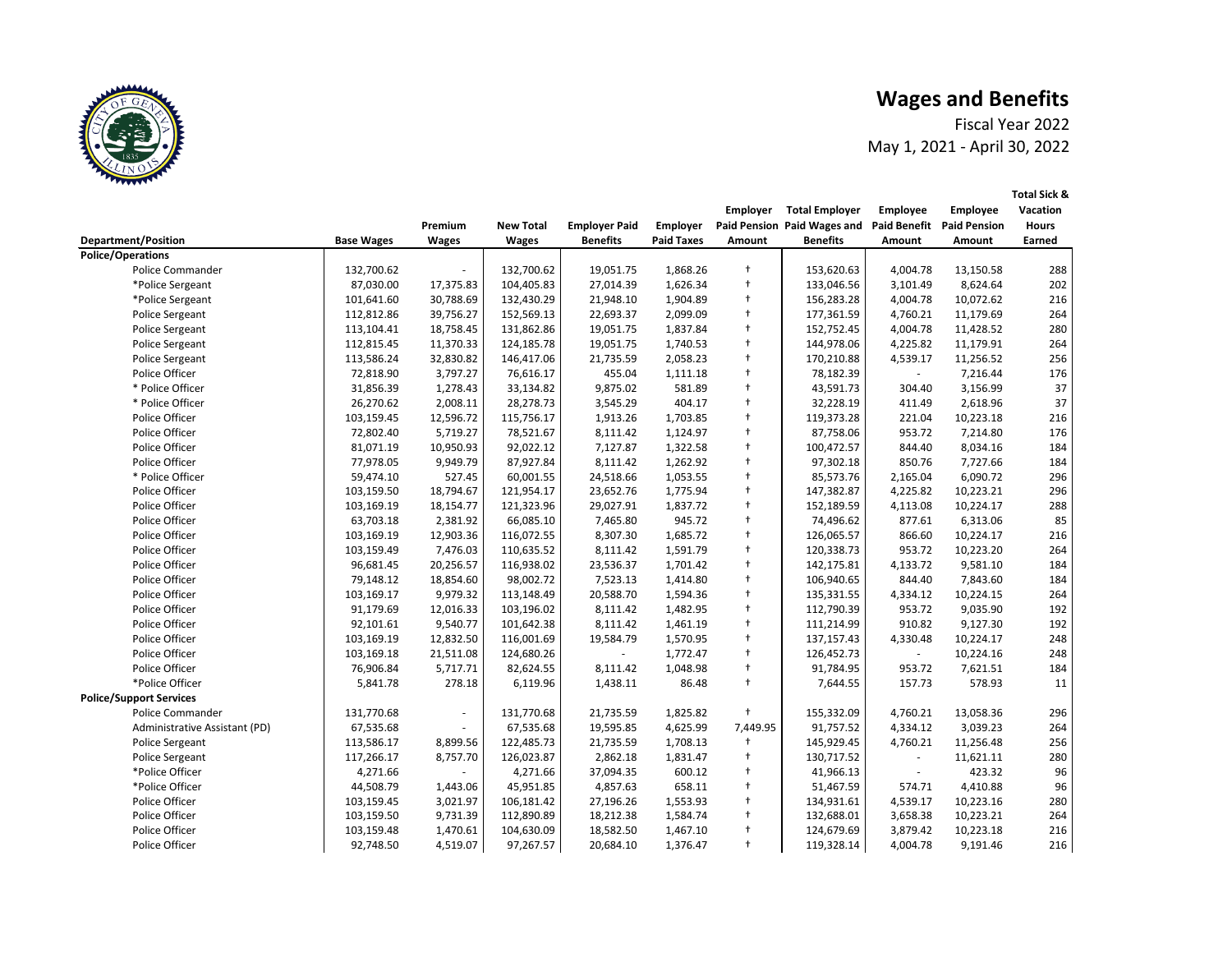# **Wages and Benefits**



|                                |                   |                |                  |                      |                   | <b>Employer</b> | <b>Total Employer</b>       | <b>Employee</b>     | <b>Employee</b>     | <b>Vacation</b> |
|--------------------------------|-------------------|----------------|------------------|----------------------|-------------------|-----------------|-----------------------------|---------------------|---------------------|-----------------|
|                                |                   | Premium        | <b>New Total</b> | <b>Employer Paid</b> | <b>Employer</b>   |                 | Paid Pension Paid Wages and | <b>Paid Benefit</b> | <b>Paid Pension</b> | <b>Hours</b>    |
| <b>Department/Position</b>     | <b>Base Wages</b> | <b>Wages</b>   | <b>Wages</b>     | <b>Benefits</b>      | <b>Paid Taxes</b> | <b>Amount</b>   | <b>Benefits</b>             | Amount              | <b>Amount</b>       | Earned          |
| <b>Police/Operations</b>       |                   |                |                  |                      |                   |                 |                             |                     |                     |                 |
| <b>Police Commander</b>        | 132,700.62        |                | 132,700.62       | 19,051.75            | 1,868.26          | $\ddagger$      | 153,620.63                  | 4,004.78            | 13,150.58           | 288             |
| *Police Sergeant               | 87,030.00         | 17,375.83      | 104,405.83       | 27,014.39            | 1,626.34          | $\ddagger$      | 133,046.56                  | 3,101.49            | 8,624.64            | 202             |
| *Police Sergeant               | 101,641.60        | 30,788.69      | 132,430.29       | 21,948.10            | 1,904.89          | $\ddagger$      | 156,283.28                  | 4,004.78            | 10,072.62           | 216             |
| Police Sergeant                | 112,812.86        | 39,756.27      | 152,569.13       | 22,693.37            | 2,099.09          | $\ddagger$      | 177,361.59                  | 4,760.21            | 11,179.69           | 264             |
| Police Sergeant                | 113,104.41        | 18,758.45      | 131,862.86       | 19,051.75            | 1,837.84          | $\ddagger$      | 152,752.45                  | 4,004.78            | 11,428.52           | 280             |
| Police Sergeant                | 112,815.45        | 11,370.33      | 124,185.78       | 19,051.75            | 1,740.53          | $\ddagger$      | 144,978.06                  | 4,225.82            | 11,179.91           | 264             |
| Police Sergeant                | 113,586.24        | 32,830.82      | 146,417.06       | 21,735.59            | 2,058.23          | $\ddagger$      | 170,210.88                  | 4,539.17            | 11,256.52           | 256             |
| Police Officer                 | 72,818.90         | 3,797.27       | 76,616.17        | 455.04               | 1,111.18          | $\ddagger$      | 78,182.39                   | $\sim$              | 7,216.44            | 176             |
| * Police Officer               | 31,856.39         | 1,278.43       | 33,134.82        | 9,875.02             | 581.89            | $\ddagger$      | 43,591.73                   | 304.40              | 3,156.99            | 37              |
| * Police Officer               | 26,270.62         | 2,008.11       | 28,278.73        | 3,545.29             | 404.17            | $^{+}$          | 32,228.19                   | 411.49              | 2,618.96            | 37              |
| Police Officer                 | 103,159.45        | 12,596.72      | 115,756.17       | 1,913.26             | 1,703.85          | $\ddagger$      | 119,373.28                  | 221.04              | 10,223.18           | 216             |
| Police Officer                 | 72,802.40         | 5,719.27       | 78,521.67        | 8,111.42             | 1,124.97          | $\ddagger$      | 87,758.06                   | 953.72              | 7,214.80            | 176             |
| Police Officer                 | 81,071.19         | 10,950.93      | 92,022.12        | 7,127.87             | 1,322.58          | $\ddagger$      | 100,472.57                  | 844.40              | 8,034.16            | 184             |
| Police Officer                 | 77,978.05         | 9,949.79       | 87,927.84        | 8,111.42             | 1,262.92          | $\ddagger$      | 97,302.18                   | 850.76              | 7,727.66            | 184             |
| * Police Officer               | 59,474.10         | 527.45         | 60,001.55        | 24,518.66            | 1,053.55          | $\ddagger$      | 85,573.76                   | 2,165.04            | 6,090.72            | 296             |
| Police Officer                 | 103,159.50        | 18,794.67      | 121,954.17       | 23,652.76            | 1,775.94          | $\ddagger$      | 147,382.87                  | 4,225.82            | 10,223.21           | 296             |
| Police Officer                 | 103,169.19        | 18,154.77      | 121,323.96       | 29,027.91            | 1,837.72          | $\ddagger$      | 152,189.59                  | 4,113.08            | 10,224.17           | 288             |
| Police Officer                 | 63,703.18         | 2,381.92       | 66,085.10        | 7,465.80             | 945.72            | $\ddagger$      | 74,496.62                   | 877.61              | 6,313.06            | 85              |
| Police Officer                 | 103,169.19        | 12,903.36      | 116,072.55       | 8,307.30             | 1,685.72          | $\ddagger$      | 126,065.57                  | 866.60              | 10,224.17           | 216             |
| Police Officer                 | 103,159.49        | 7,476.03       | 110,635.52       | 8,111.42             | 1,591.79          | $\ddagger$      | 120,338.73                  | 953.72              | 10,223.20           | 264             |
| Police Officer                 | 96,681.45         | 20,256.57      | 116,938.02       | 23,536.37            | 1,701.42          | $\ddagger$      | 142,175.81                  | 4,133.72            | 9,581.10            | 184             |
| Police Officer                 | 79,148.12         | 18,854.60      | 98,002.72        | 7,523.13             | 1,414.80          | $\ddagger$      | 106,940.65                  | 844.40              | 7,843.60            | 184             |
| Police Officer                 | 103,169.17        | 9,979.32       | 113,148.49       | 20,588.70            | 1,594.36          | $\ddagger$      | 135,331.55                  | 4,334.12            | 10,224.15           | 264             |
| Police Officer                 | 91,179.69         | 12,016.33      | 103,196.02       | 8,111.42             | 1,482.95          | $\ddagger$      | 112,790.39                  | 953.72              | 9,035.90            | 192             |
| Police Officer                 | 92,101.61         | 9,540.77       | 101,642.38       | 8,111.42             | 1,461.19          | $\ddagger$      | 111,214.99                  | 910.82              | 9,127.30            | 192             |
| Police Officer                 | 103,169.19        | 12,832.50      | 116,001.69       | 19,584.79            | 1,570.95          |                 | 137,157.43                  | 4,330.48            | 10,224.17           | 248             |
| Police Officer                 | 103,169.18        | 21,511.08      | 124,680.26       |                      | 1,772.47          | $\ddagger$      | 126,452.73                  |                     | 10,224.16           | 248             |
| Police Officer                 | 76,906.84         | 5,717.71       | 82,624.55        | 8,111.42             | 1,048.98          | $\ddagger$      | 91,784.95                   | 953.72              | 7,621.51            | 184             |
| *Police Officer                | 5,841.78          | 278.18         | 6,119.96         | 1,438.11             | 86.48             | $\ddagger$      | 7,644.55                    | 157.73              | 578.93              | 11              |
| <b>Police/Support Services</b> |                   |                |                  |                      |                   |                 |                             |                     |                     |                 |
| <b>Police Commander</b>        | 131,770.68        | $\blacksquare$ | 131,770.68       | 21,735.59            | 1,825.82          | $\ddagger$      | 155,332.09                  | 4,760.21            | 13,058.36           | 296             |
| Administrative Assistant (PD)  | 67,535.68         | $\sim$         | 67,535.68        | 19,595.85            | 4,625.99          | 7,449.95        | 91,757.52                   | 4,334.12            | 3,039.23            | 264             |
| Police Sergeant                | 113,586.17        | 8,899.56       | 122,485.73       | 21,735.59            | 1,708.13          | $\mathbf +$     | 145,929.45                  | 4,760.21            | 11,256.48           | 256             |
| Police Sergeant                | 117,266.17        | 8,757.70       | 126,023.87       | 2,862.18             | 1,831.47          | $\ddagger$      | 130,717.52                  |                     | 11,621.11           | 280             |
| *Police Officer                | 4,271.66          |                | 4,271.66         | 37,094.35            | 600.12            | $\ddagger$      | 41,966.13                   |                     | 423.32              | 96              |
| *Police Officer                | 44,508.79         | 1,443.06       | 45,951.85        | 4,857.63             | 658.11            | $\ddagger$      | 51,467.59                   | 574.71              | 4,410.88            | 96              |
| Police Officer                 | 103,159.45        | 3,021.97       | 106,181.42       | 27,196.26            | 1,553.93          | $\ddagger$      | 134,931.61                  | 4,539.17            | 10,223.16           | 280             |
| Police Officer                 | 103,159.50        | 9,731.39       | 112,890.89       | 18,212.38            | 1,584.74          | $\ddagger$      | 132,688.01                  | 3,658.38            | 10,223.21           | 264             |
| Police Officer                 | 103,159.48        | 1,470.61       | 104,630.09       | 18,582.50            | 1,467.10          | $\ddagger$      | 124,679.69                  | 3,879.42            | 10,223.18           | 216             |
| Police Officer                 | 92,748.50         | 4,519.07       | 97,267.57        | 20,684.10            | 1,376.47          | $\ddagger$      | 119,328.14                  | 4,004.78            | 9,191.46            | 216             |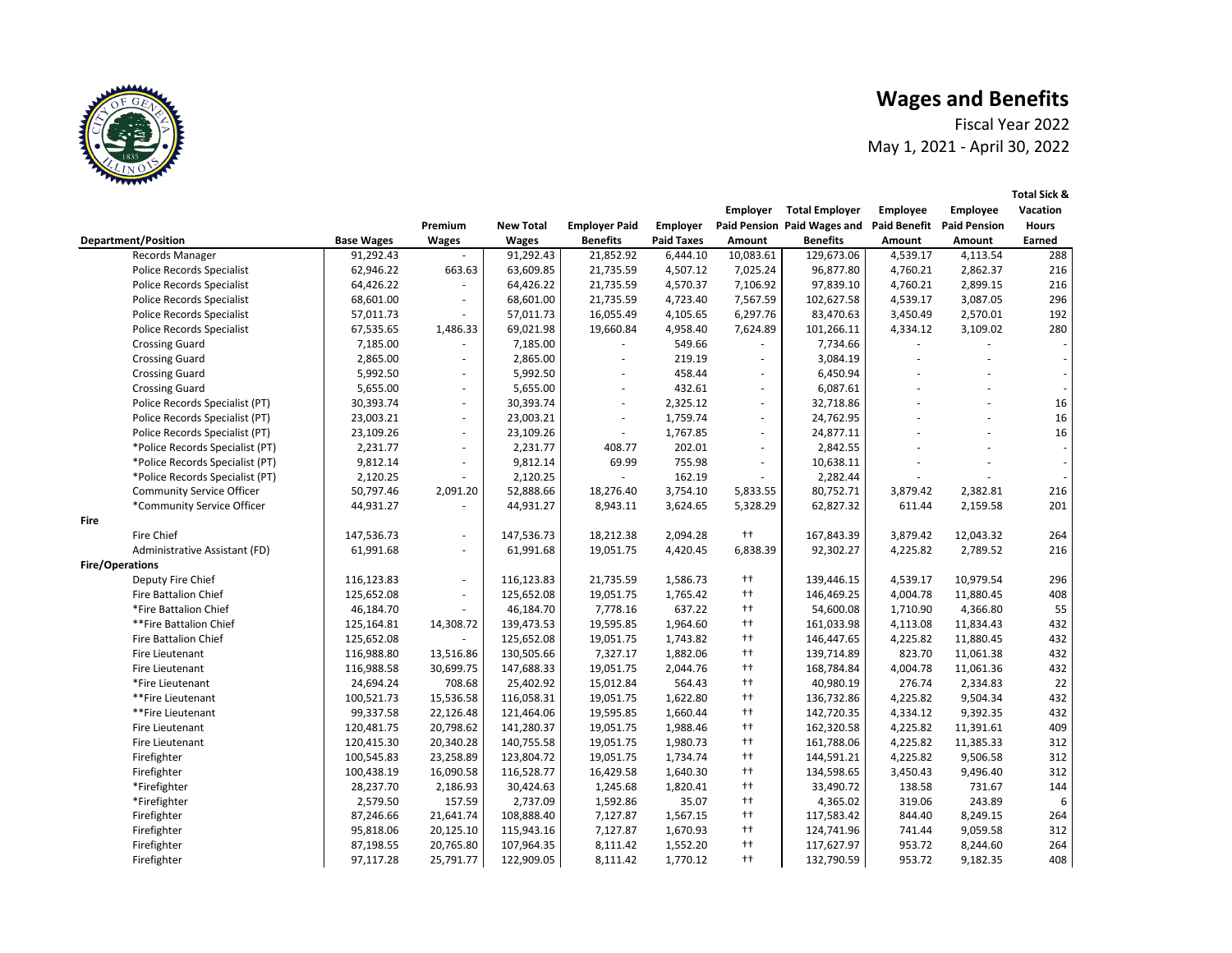**Employer Total Employer** 

 **Employee Amount Employee Amount Total Sick & Vacation Hours Earned**

#### **Wages and Benefits**



|             |                                  |                   | Premium      | <b>New Total</b> | <b>Employer Paid</b> | <b>Employer</b>   |                          | Paid Pension Paid Wages and |               | <b>Paid Benefit Paid Pension</b> | <b>Hours</b> |
|-------------|----------------------------------|-------------------|--------------|------------------|----------------------|-------------------|--------------------------|-----------------------------|---------------|----------------------------------|--------------|
|             | <b>Department/Position</b>       | <b>Base Wages</b> | <b>Wages</b> | <b>Wages</b>     | <b>Benefits</b>      | <b>Paid Taxes</b> | Amount                   | <b>Benefits</b>             | <b>Amount</b> | Amount                           | Earned       |
|             | Records Manager                  | 91,292.43         |              | 91,292.43        | 21,852.92            | 6,444.10          | 10,083.61                | 129,673.06                  | 4,539.17      | 4,113.54                         | 288          |
|             | <b>Police Records Specialist</b> | 62,946.22         | 663.63       | 63,609.85        | 21,735.59            | 4,507.12          | 7,025.24                 | 96,877.80                   | 4,760.21      | 2,862.37                         | 216          |
|             | <b>Police Records Specialist</b> | 64,426.22         |              | 64,426.22        | 21,735.59            | 4,570.37          | 7,106.92                 | 97,839.10                   | 4,760.21      | 2,899.15                         | 216          |
|             | <b>Police Records Specialist</b> | 68,601.00         |              | 68,601.00        | 21,735.59            | 4,723.40          | 7,567.59                 | 102,627.58                  | 4,539.17      | 3,087.05                         | 296          |
|             | <b>Police Records Specialist</b> | 57,011.73         |              | 57,011.73        | 16,055.49            | 4,105.65          | 6,297.76                 | 83,470.63                   | 3,450.49      | 2,570.01                         | 192          |
|             | <b>Police Records Specialist</b> | 67,535.65         | 1,486.33     | 69,021.98        | 19,660.84            | 4,958.40          | 7,624.89                 | 101,266.11                  | 4,334.12      | 3,109.02                         | 280          |
|             | <b>Crossing Guard</b>            | 7,185.00          |              | 7,185.00         |                      | 549.66            |                          | 7,734.66                    |               |                                  |              |
|             | <b>Crossing Guard</b>            | 2,865.00          |              | 2,865.00         |                      | 219.19            |                          | 3,084.19                    |               |                                  |              |
|             | <b>Crossing Guard</b>            | 5,992.50          |              | 5,992.50         |                      | 458.44            |                          | 6,450.94                    |               |                                  |              |
|             | <b>Crossing Guard</b>            | 5,655.00          | $\sim$       | 5,655.00         |                      | 432.61            |                          | 6,087.61                    |               |                                  | $\sim$       |
|             | Police Records Specialist (PT)   | 30,393.74         | $\sim$       | 30,393.74        |                      | 2,325.12          | $\overline{\phantom{a}}$ | 32,718.86                   |               |                                  | 16           |
|             | Police Records Specialist (PT)   | 23,003.21         | $\sim$       | 23,003.21        |                      | 1,759.74          | $\overline{\phantom{a}}$ | 24,762.95                   |               |                                  | 16           |
|             | Police Records Specialist (PT)   | 23,109.26         | $\sim$       | 23,109.26        |                      | 1,767.85          |                          | 24,877.11                   |               |                                  | 16           |
|             | *Police Records Specialist (PT)  | 2,231.77          |              | 2,231.77         | 408.77               | 202.01            |                          | 2,842.55                    |               |                                  |              |
|             | *Police Records Specialist (PT)  | 9,812.14          |              | 9,812.14         | 69.99                | 755.98            |                          | 10,638.11                   |               |                                  |              |
|             | *Police Records Specialist (PT)  | 2,120.25          |              | 2,120.25         |                      | 162.19            |                          | 2,282.44                    |               |                                  |              |
|             | <b>Community Service Officer</b> | 50,797.46         | 2,091.20     | 52,888.66        | 18,276.40            | 3,754.10          | 5,833.55                 | 80,752.71                   | 3,879.42      | 2,382.81                         | 216          |
|             | *Community Service Officer       | 44,931.27         |              | 44,931.27        | 8,943.11             | 3,624.65          | 5,328.29                 | 62,827.32                   | 611.44        | 2,159.58                         | 201          |
| <b>Fire</b> |                                  |                   |              |                  |                      |                   |                          |                             |               |                                  |              |
|             | <b>Fire Chief</b>                | 147,536.73        |              | 147,536.73       | 18,212.38            | 2,094.28          | $^{++}$                  | 167,843.39                  | 3,879.42      | 12,043.32                        | 264          |
|             | Administrative Assistant (FD)    | 61,991.68         |              | 61,991.68        | 19,051.75            | 4,420.45          | 6,838.39                 | 92,302.27                   | 4,225.82      | 2,789.52                         | 216          |
|             | <b>Fire/Operations</b>           |                   |              |                  |                      |                   |                          |                             |               |                                  |              |
|             | Deputy Fire Chief                | 116,123.83        | $\sim$       | 116,123.83       | 21,735.59            | 1,586.73          | $^{++}$                  | 139,446.15                  | 4,539.17      | 10,979.54                        | 296          |
|             | Fire Battalion Chief             | 125,652.08        | $\sim$       | 125,652.08       | 19,051.75            | 1,765.42          | $^{++}$                  | 146,469.25                  | 4,004.78      | 11,880.45                        | 408          |
|             | *Fire Battalion Chief            | 46,184.70         |              | 46,184.70        | 7,778.16             | 637.22            | $^{++}$                  | 54,600.08                   | 1,710.90      | 4,366.80                         | 55           |
|             | **Fire Battalion Chief           | 125,164.81        | 14,308.72    | 139,473.53       | 19,595.85            | 1,964.60          | $^{++}$                  | 161,033.98                  | 4,113.08      | 11,834.43                        | 432          |
|             | <b>Fire Battalion Chief</b>      | 125,652.08        |              | 125,652.08       | 19,051.75            | 1,743.82          | $^{++}$                  | 146,447.65                  | 4,225.82      | 11,880.45                        | 432          |
|             | Fire Lieutenant                  | 116,988.80        | 13,516.86    | 130,505.66       | 7,327.17             | 1,882.06          | $++$                     | 139,714.89                  | 823.70        | 11,061.38                        | 432          |
|             | Fire Lieutenant                  | 116,988.58        | 30,699.75    | 147,688.33       | 19,051.75            | 2,044.76          | $++$                     | 168,784.84                  | 4,004.78      | 11,061.36                        | 432          |
|             | *Fire Lieutenant                 | 24,694.24         | 708.68       | 25,402.92        | 15,012.84            | 564.43            | $^{++}$                  | 40,980.19                   | 276.74        | 2,334.83                         | 22           |
|             | **Fire Lieutenant                | 100,521.73        | 15,536.58    | 116,058.31       | 19,051.75            | 1,622.80          | $^{++}$                  | 136,732.86                  | 4,225.82      | 9,504.34                         | 432          |
|             | **Fire Lieutenant                | 99,337.58         | 22,126.48    | 121,464.06       | 19,595.85            | 1,660.44          | $^{++}$                  | 142,720.35                  | 4,334.12      | 9,392.35                         | 432          |
|             | Fire Lieutenant                  | 120,481.75        | 20,798.62    | 141,280.37       | 19,051.75            | 1,988.46          | $^{++}$                  | 162,320.58                  | 4,225.82      | 11,391.61                        | 409          |
|             | Fire Lieutenant                  | 120,415.30        | 20,340.28    | 140,755.58       | 19,051.75            | 1,980.73          | $^{++}$                  | 161,788.06                  | 4,225.82      | 11,385.33                        | 312          |
|             | Firefighter                      | 100,545.83        | 23,258.89    | 123,804.72       | 19,051.75            | 1,734.74          | $^{++}$                  | 144,591.21                  | 4,225.82      | 9,506.58                         | 312          |
|             | Firefighter                      | 100,438.19        | 16,090.58    | 116,528.77       | 16,429.58            | 1,640.30          | $^{++}$                  | 134,598.65                  | 3,450.43      | 9,496.40                         | 312          |
|             | *Firefighter                     | 28,237.70         | 2,186.93     | 30,424.63        | 1,245.68             | 1,820.41          | $^{++}$                  | 33,490.72                   | 138.58        | 731.67                           | 144          |
|             | *Firefighter                     | 2,579.50          | 157.59       | 2,737.09         | 1,592.86             | 35.07             | $^{++}$                  | 4,365.02                    | 319.06        | 243.89                           | 6            |
|             | Firefighter                      | 87,246.66         | 21,641.74    | 108,888.40       | 7,127.87             | 1,567.15          | $^{++}$                  | 117,583.42                  | 844.40        | 8,249.15                         | 264          |
|             | Firefighter                      | 95,818.06         | 20,125.10    | 115,943.16       | 7,127.87             | 1,670.93          | $^{++}$                  | 124,741.96                  | 741.44        | 9,059.58                         | 312          |
|             | Firefighter                      | 87,198.55         | 20,765.80    | 107,964.35       | 8,111.42             | 1,552.20          | $^{++}$                  | 117,627.97                  | 953.72        | 8,244.60                         | 264          |
|             | Firefighter                      | 97,117.28         | 25,791.77    | 122,909.05       | 8,111.42             | 1,770.12          | $^{\dagger\dagger}$      | 132,790.59                  | 953.72        | 9,182.35                         | 408          |
|             |                                  |                   |              |                  |                      |                   |                          |                             |               |                                  |              |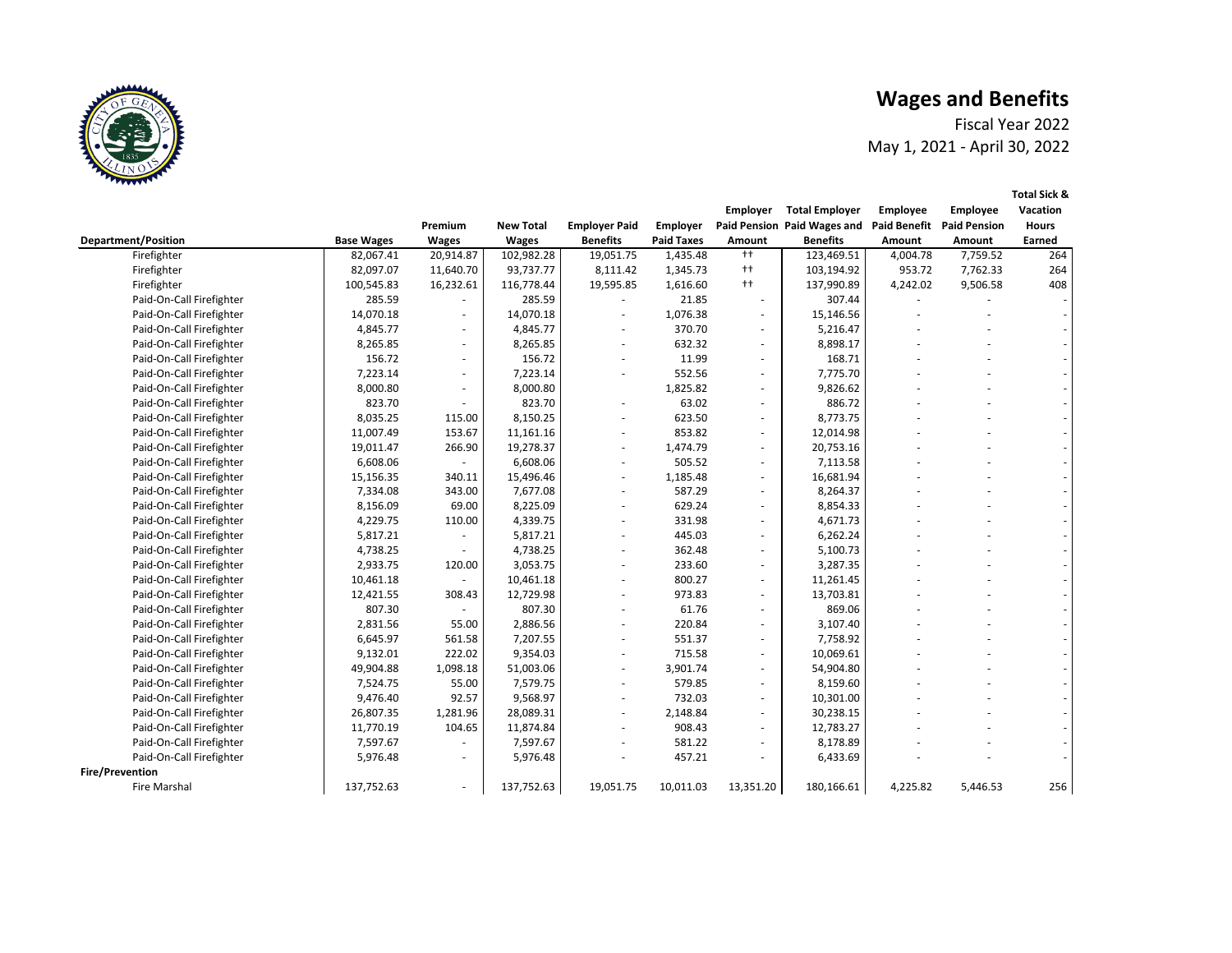|                     |                            |                     |                     | <b>Total Sick &amp;</b>  |
|---------------------|----------------------------|---------------------|---------------------|--------------------------|
| <b>Employer</b>     | <b>Total Employer</b>      | <b>Employee</b>     | <b>Employee</b>     | <b>Vacation</b>          |
|                     | aid Pension Paid Wages and | <b>Paid Benefit</b> | <b>Paid Pension</b> | <b>Hours</b>             |
| <b>Amount</b>       | <b>Benefits</b>            | <b>Amount</b>       | <b>Amount</b>       | <b>Earned</b>            |
| $++$                | 123,469.51                 | 4,004.78            | 7,759.52            | 264                      |
| $^{\dagger\dagger}$ | 103,194.92                 | 953.72              | 7,762.33            | 264                      |
| $^{\dagger\dagger}$ | 137,990.89                 | 4,242.02            | 9,506.58            | 408                      |
|                     | 307.44                     |                     |                     |                          |
|                     | 15,146.56                  |                     |                     |                          |
|                     | 5,216.47                   |                     |                     |                          |
|                     | 8,898.17                   |                     |                     |                          |
|                     | 168.71                     |                     |                     |                          |
|                     | 7,775.70                   |                     |                     |                          |
|                     | 9,826.62                   |                     |                     |                          |
|                     | 886.72                     |                     |                     |                          |
|                     | 8,773.75                   |                     |                     |                          |
|                     | 12,014.98                  |                     |                     |                          |
|                     | 20,753.16                  |                     |                     | -                        |
|                     | 7,113.58                   |                     |                     |                          |
|                     | 16,681.94                  |                     |                     |                          |
|                     | 8,264.37                   |                     |                     | -                        |
|                     | 8,854.33                   |                     |                     | -                        |
|                     | 4,671.73                   |                     |                     | -                        |
|                     | 6,262.24                   |                     |                     |                          |
|                     | 5,100.73                   |                     |                     | -                        |
|                     | 3,287.35                   |                     |                     | -                        |
|                     | 11,261.45                  |                     |                     | -                        |
|                     | 13,703.81                  |                     |                     | -                        |
|                     | 869.06                     |                     |                     | -                        |
|                     | 3,107.40                   |                     |                     | $\overline{\phantom{0}}$ |
|                     | 7,758.92                   |                     |                     |                          |
|                     | 10,069.61                  |                     |                     |                          |
|                     | 54,904.80                  |                     |                     |                          |
|                     | 8,159.60                   |                     |                     |                          |
|                     | 10,301.00                  |                     |                     |                          |
|                     | 30,238.15                  |                     |                     |                          |
|                     | 12,783.27                  |                     |                     |                          |
|                     | 8,178.89                   |                     |                     |                          |
|                     | 6,433.69                   |                     |                     |                          |
|                     |                            |                     |                     |                          |
|                     |                            |                     |                     |                          |

## **Wages and Benefits**



|                            |                   | Premium      | <b>New Total</b> | <b>Employer Paid</b> | <b>Employer</b>   |                          | Paid Pension Paid Wages and Paid Benefit Paid Pension |          |               | <b>Hours</b> |
|----------------------------|-------------------|--------------|------------------|----------------------|-------------------|--------------------------|-------------------------------------------------------|----------|---------------|--------------|
| <b>Department/Position</b> | <b>Base Wages</b> | <b>Wages</b> | <b>Wages</b>     | <b>Benefits</b>      | <b>Paid Taxes</b> | Amount                   | <b>Benefits</b>                                       | Amount   | <b>Amount</b> | Earned       |
| Firefighter                | 82,067.41         | 20,914.87    | 102,982.28       | 19,051.75            | 1,435.48          | $++$                     | 123,469.51                                            | 4,004.78 | 7,759.52      | 264          |
| Firefighter                | 82,097.07         | 11,640.70    | 93,737.77        | 8,111.42             | 1,345.73          | $++$                     | 103,194.92                                            | 953.72   | 7,762.33      | 264          |
| Firefighter                | 100,545.83        | 16,232.61    | 116,778.44       | 19,595.85            | 1,616.60          | $++$                     | 137,990.89                                            | 4,242.02 | 9,506.58      | 408          |
| Paid-On-Call Firefighter   | 285.59            |              | 285.59           |                      | 21.85             |                          | 307.44                                                |          |               |              |
| Paid-On-Call Firefighter   | 14,070.18         |              | 14,070.18        |                      | 1,076.38          | $\blacksquare$           | 15,146.56                                             |          |               |              |
| Paid-On-Call Firefighter   | 4,845.77          |              | 4,845.77         |                      | 370.70            | $\sim$                   | 5,216.47                                              |          |               |              |
| Paid-On-Call Firefighter   | 8,265.85          | -            | 8,265.85         |                      | 632.32            | $\sim$                   | 8,898.17                                              |          |               |              |
| Paid-On-Call Firefighter   | 156.72            |              | 156.72           |                      | 11.99             |                          | 168.71                                                |          |               |              |
| Paid-On-Call Firefighter   | 7,223.14          |              | 7,223.14         |                      | 552.56            | $\sim$                   | 7,775.70                                              |          |               |              |
| Paid-On-Call Firefighter   | 8,000.80          |              | 8,000.80         |                      | 1,825.82          | $\sim$                   | 9,826.62                                              |          |               |              |
| Paid-On-Call Firefighter   | 823.70            |              | 823.70           |                      | 63.02             |                          | 886.72                                                |          |               |              |
| Paid-On-Call Firefighter   | 8,035.25          | 115.00       | 8,150.25         |                      | 623.50            | $\blacksquare$           | 8,773.75                                              |          |               |              |
| Paid-On-Call Firefighter   | 11,007.49         | 153.67       | 11,161.16        |                      | 853.82            | $\sim$                   | 12,014.98                                             |          |               |              |
| Paid-On-Call Firefighter   | 19,011.47         | 266.90       | 19,278.37        |                      | 1,474.79          | $\sim$                   | 20,753.16                                             |          |               |              |
| Paid-On-Call Firefighter   | 6,608.06          |              | 6,608.06         |                      | 505.52            |                          | 7,113.58                                              |          |               |              |
| Paid-On-Call Firefighter   | 15,156.35         | 340.11       | 15,496.46        |                      | 1,185.48          |                          | 16,681.94                                             |          |               |              |
| Paid-On-Call Firefighter   | 7,334.08          | 343.00       | 7,677.08         |                      | 587.29            | $\blacksquare$           | 8,264.37                                              |          |               |              |
| Paid-On-Call Firefighter   | 8,156.09          | 69.00        | 8,225.09         |                      | 629.24            |                          | 8,854.33                                              |          |               |              |
| Paid-On-Call Firefighter   | 4,229.75          | 110.00       | 4,339.75         |                      | 331.98            |                          | 4,671.73                                              |          |               |              |
| Paid-On-Call Firefighter   | 5,817.21          |              | 5,817.21         |                      | 445.03            |                          | 6,262.24                                              |          |               |              |
| Paid-On-Call Firefighter   | 4,738.25          |              | 4,738.25         |                      | 362.48            |                          | 5,100.73                                              |          |               |              |
| Paid-On-Call Firefighter   | 2,933.75          | 120.00       | 3,053.75         |                      | 233.60            |                          | 3,287.35                                              |          |               |              |
| Paid-On-Call Firefighter   | 10,461.18         |              | 10,461.18        | $\blacksquare$       | 800.27            | $\blacksquare$           | 11,261.45                                             |          |               |              |
| Paid-On-Call Firefighter   | 12,421.55         | 308.43       | 12,729.98        |                      | 973.83            |                          | 13,703.81                                             |          |               |              |
| Paid-On-Call Firefighter   | 807.30            |              | 807.30           |                      | 61.76             | $\blacksquare$           | 869.06                                                |          |               |              |
| Paid-On-Call Firefighter   | 2,831.56          | 55.00        | 2,886.56         |                      | 220.84            |                          | 3,107.40                                              |          |               |              |
| Paid-On-Call Firefighter   | 6,645.97          | 561.58       | 7,207.55         |                      | 551.37            |                          | 7,758.92                                              |          |               |              |
| Paid-On-Call Firefighter   | 9,132.01          | 222.02       | 9,354.03         |                      | 715.58            |                          | 10,069.61                                             |          |               |              |
| Paid-On-Call Firefighter   | 49,904.88         | 1,098.18     | 51,003.06        |                      | 3,901.74          | $\overline{\phantom{a}}$ | 54,904.80                                             |          |               |              |
| Paid-On-Call Firefighter   | 7,524.75          | 55.00        | 7,579.75         |                      | 579.85            | $\blacksquare$           | 8,159.60                                              |          |               |              |
| Paid-On-Call Firefighter   | 9,476.40          | 92.57        | 9,568.97         |                      | 732.03            | $\blacksquare$           | 10,301.00                                             |          |               |              |
| Paid-On-Call Firefighter   | 26,807.35         | 1,281.96     | 28,089.31        |                      | 2,148.84          | $\blacksquare$           | 30,238.15                                             |          |               |              |
| Paid-On-Call Firefighter   | 11,770.19         | 104.65       | 11,874.84        |                      | 908.43            |                          | 12,783.27                                             |          |               |              |
| Paid-On-Call Firefighter   | 7,597.67          |              | 7,597.67         |                      | 581.22            |                          | 8,178.89                                              |          |               |              |
| Paid-On-Call Firefighter   | 5,976.48          |              | 5,976.48         |                      | 457.21            |                          | 6,433.69                                              |          |               |              |
| <b>Fire/Prevention</b>     |                   |              |                  |                      |                   |                          |                                                       |          |               |              |
| Fire Marshal               | 137,752.63        | $\sim$       | 137,752.63       | 19,051.75            | 10,011.03         | 13,351.20                | 180,166.61                                            | 4,225.82 | 5,446.53      | 256          |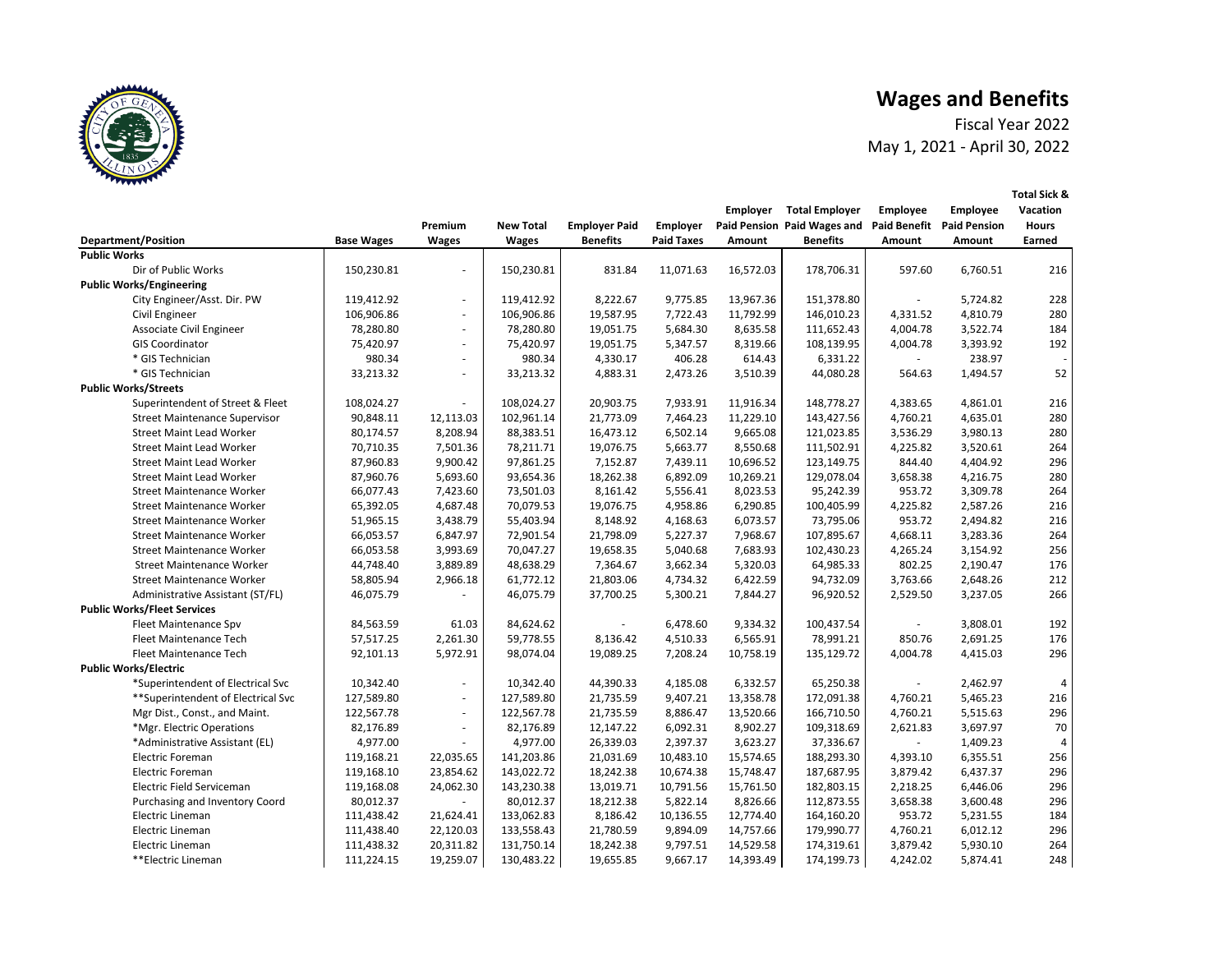# **Wages and Benefits**



|                                      |                   |                          |                  |                      |                   | <b>Employer</b> | <b>Total Employer</b>       | <b>Employee</b>     | <b>Employee</b>     | <b>Vacation</b> |
|--------------------------------------|-------------------|--------------------------|------------------|----------------------|-------------------|-----------------|-----------------------------|---------------------|---------------------|-----------------|
|                                      |                   | Premium                  | <b>New Total</b> | <b>Employer Paid</b> | <b>Employer</b>   |                 | Paid Pension Paid Wages and | <b>Paid Benefit</b> | <b>Paid Pension</b> | <b>Hours</b>    |
| <b>Department/Position</b>           | <b>Base Wages</b> | <b>Wages</b>             | <b>Wages</b>     | <b>Benefits</b>      | <b>Paid Taxes</b> | Amount          | <b>Benefits</b>             | <b>Amount</b>       | Amount              | <b>Earned</b>   |
| <b>Public Works</b>                  |                   |                          |                  |                      |                   |                 |                             |                     |                     |                 |
| Dir of Public Works                  | 150,230.81        |                          | 150,230.81       | 831.84               | 11,071.63         | 16,572.03       | 178,706.31                  | 597.60              | 6,760.51            | 216             |
| <b>Public Works/Engineering</b>      |                   |                          |                  |                      |                   |                 |                             |                     |                     |                 |
| City Engineer/Asst. Dir. PW          | 119,412.92        | $\sim$                   | 119,412.92       | 8,222.67             | 9,775.85          | 13,967.36       | 151,378.80                  |                     | 5,724.82            | 228             |
| Civil Engineer                       | 106,906.86        | $\sim$                   | 106,906.86       | 19,587.95            | 7,722.43          | 11,792.99       | 146,010.23                  | 4,331.52            | 4,810.79            | 280             |
| <b>Associate Civil Engineer</b>      | 78,280.80         | $\sim$                   | 78,280.80        | 19,051.75            | 5,684.30          | 8,635.58        | 111,652.43                  | 4,004.78            | 3,522.74            | 184             |
| <b>GIS Coordinator</b>               | 75,420.97         | $\sim$                   | 75,420.97        | 19,051.75            | 5,347.57          | 8,319.66        | 108,139.95                  | 4,004.78            | 3,393.92            | 192             |
| * GIS Technician                     | 980.34            | $\blacksquare$           | 980.34           | 4,330.17             | 406.28            | 614.43          | 6,331.22                    |                     | 238.97              |                 |
| * GIS Technician                     | 33,213.32         | $\blacksquare$           | 33,213.32        | 4,883.31             | 2,473.26          | 3,510.39        | 44,080.28                   | 564.63              | 1,494.57            | 52              |
| <b>Public Works/Streets</b>          |                   |                          |                  |                      |                   |                 |                             |                     |                     |                 |
| Superintendent of Street & Fleet     | 108,024.27        | $\overline{\phantom{a}}$ | 108,024.27       | 20,903.75            | 7,933.91          | 11,916.34       | 148,778.27                  | 4,383.65            | 4,861.01            | 216             |
| <b>Street Maintenance Supervisor</b> | 90,848.11         | 12,113.03                | 102,961.14       | 21,773.09            | 7,464.23          | 11,229.10       | 143,427.56                  | 4,760.21            | 4,635.01            | 280             |
| <b>Street Maint Lead Worker</b>      | 80,174.57         | 8,208.94                 | 88,383.51        | 16,473.12            | 6,502.14          | 9,665.08        | 121,023.85                  | 3,536.29            | 3,980.13            | 280             |
| <b>Street Maint Lead Worker</b>      | 70,710.35         | 7,501.36                 | 78,211.71        | 19,076.75            | 5,663.77          | 8,550.68        | 111,502.91                  | 4,225.82            | 3,520.61            | 264             |
| <b>Street Maint Lead Worker</b>      | 87,960.83         | 9,900.42                 | 97,861.25        | 7,152.87             | 7,439.11          | 10,696.52       | 123,149.75                  | 844.40              | 4,404.92            | 296             |
| <b>Street Maint Lead Worker</b>      | 87,960.76         | 5,693.60                 | 93,654.36        | 18,262.38            | 6,892.09          | 10,269.21       | 129,078.04                  | 3,658.38            | 4,216.75            | 280             |
| <b>Street Maintenance Worker</b>     | 66,077.43         | 7,423.60                 | 73,501.03        | 8,161.42             | 5,556.41          | 8,023.53        | 95,242.39                   | 953.72              | 3,309.78            | 264             |
| <b>Street Maintenance Worker</b>     | 65,392.05         | 4,687.48                 | 70,079.53        | 19,076.75            | 4,958.86          | 6,290.85        | 100,405.99                  | 4,225.82            | 2,587.26            | 216             |
| <b>Street Maintenance Worker</b>     | 51,965.15         | 3,438.79                 | 55,403.94        | 8,148.92             | 4,168.63          | 6,073.57        | 73,795.06                   | 953.72              | 2,494.82            | 216             |
| <b>Street Maintenance Worker</b>     | 66,053.57         | 6,847.97                 | 72,901.54        | 21,798.09            | 5,227.37          | 7,968.67        | 107,895.67                  | 4,668.11            | 3,283.36            | 264             |
| <b>Street Maintenance Worker</b>     | 66,053.58         | 3,993.69                 | 70,047.27        | 19,658.35            | 5,040.68          | 7,683.93        | 102,430.23                  | 4,265.24            | 3,154.92            | 256             |
| <b>Street Maintenance Worker</b>     | 44,748.40         | 3,889.89                 | 48,638.29        | 7,364.67             | 3,662.34          | 5,320.03        | 64,985.33                   | 802.25              | 2,190.47            | 176             |
| <b>Street Maintenance Worker</b>     | 58,805.94         | 2,966.18                 | 61,772.12        | 21,803.06            | 4,734.32          | 6,422.59        | 94,732.09                   | 3,763.66            | 2,648.26            | 212             |
| Administrative Assistant (ST/FL)     | 46,075.79         |                          | 46,075.79        | 37,700.25            | 5,300.21          | 7,844.27        | 96,920.52                   | 2,529.50            | 3,237.05            | 266             |
| <b>Public Works/Fleet Services</b>   |                   |                          |                  |                      |                   |                 |                             |                     |                     |                 |
| Fleet Maintenance Spv                | 84,563.59         | 61.03                    | 84,624.62        |                      | 6,478.60          | 9,334.32        | 100,437.54                  |                     | 3,808.01            | 192             |
| Fleet Maintenance Tech               | 57,517.25         | 2,261.30                 | 59,778.55        | 8,136.42             | 4,510.33          | 6,565.91        | 78,991.21                   | 850.76              | 2,691.25            | 176             |
| Fleet Maintenance Tech               | 92,101.13         | 5,972.91                 | 98,074.04        | 19,089.25            | 7,208.24          | 10,758.19       | 135,129.72                  | 4,004.78            | 4,415.03            | 296             |
| <b>Public Works/Electric</b>         |                   |                          |                  |                      |                   |                 |                             |                     |                     |                 |
| *Superintendent of Electrical Svc    | 10,342.40         | $\sim$                   | 10,342.40        | 44,390.33            | 4,185.08          | 6,332.57        | 65,250.38                   |                     | 2,462.97            | 4               |
| ** Superintendent of Electrical Svc  | 127,589.80        | $\blacksquare$           | 127,589.80       | 21,735.59            | 9,407.21          | 13,358.78       | 172,091.38                  | 4,760.21            | 5,465.23            | 216             |
| Mgr Dist., Const., and Maint.        | 122,567.78        | $\sim$                   | 122,567.78       | 21,735.59            | 8,886.47          | 13,520.66       | 166,710.50                  | 4,760.21            | 5,515.63            | 296             |
| *Mgr. Electric Operations            | 82,176.89         | $\overline{\phantom{a}}$ | 82,176.89        | 12,147.22            | 6,092.31          | 8,902.27        | 109,318.69                  | 2,621.83            | 3,697.97            | 70              |
| *Administrative Assistant (EL)       | 4,977.00          | $\blacksquare$           | 4,977.00         | 26,339.03            | 2,397.37          | 3,623.27        | 37,336.67                   |                     | 1,409.23            |                 |
| <b>Electric Foreman</b>              | 119,168.21        | 22,035.65                | 141,203.86       | 21,031.69            | 10,483.10         | 15,574.65       | 188,293.30                  | 4,393.10            | 6,355.51            | 256             |
| Electric Foreman                     | 119,168.10        | 23,854.62                | 143,022.72       | 18,242.38            | 10,674.38         | 15,748.47       | 187,687.95                  | 3,879.42            | 6,437.37            | 296             |
| Electric Field Serviceman            | 119,168.08        | 24,062.30                | 143,230.38       | 13,019.71            | 10,791.56         | 15,761.50       | 182,803.15                  | 2,218.25            | 6,446.06            | 296             |
| Purchasing and Inventory Coord       | 80,012.37         |                          | 80,012.37        | 18,212.38            | 5,822.14          | 8,826.66        | 112,873.55                  | 3,658.38            | 3,600.48            | 296             |
| Electric Lineman                     | 111,438.42        | 21,624.41                | 133,062.83       | 8,186.42             | 10,136.55         | 12,774.40       | 164,160.20                  | 953.72              | 5,231.55            | 184             |
| Electric Lineman                     | 111,438.40        | 22,120.03                | 133,558.43       | 21,780.59            | 9,894.09          | 14,757.66       | 179,990.77                  | 4,760.21            | 6,012.12            | 296             |
| Electric Lineman                     | 111,438.32        | 20,311.82                | 131,750.14       | 18,242.38            | 9,797.51          | 14,529.58       | 174,319.61                  | 3,879.42            | 5,930.10            | 264             |
| **Electric Lineman                   | 111,224.15        | 19,259.07                | 130,483.22       | 19,655.85            | 9,667.17          | 14,393.49       | 174,199.73                  | 4,242.02            | 5,874.41            | 248             |